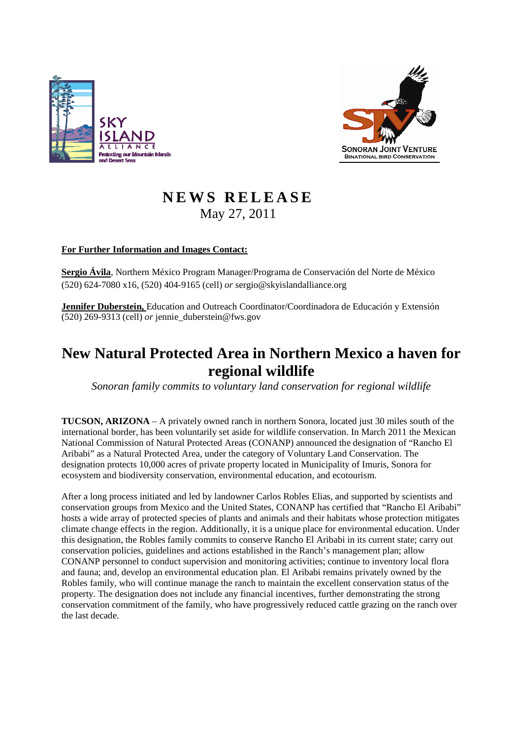



# **N E W S R E L E A S E** May 27, 2011

## **For Further Information and Images Contact:**

**Sergio Ávila**, Northern México Program Manager/Programa de Conservación del Norte de México (520) 624-7080 x16, (520) 404-9165 (cell) *or* sergio@skyislandalliance.org

**Jennifer Duberstein,** Education and Outreach Coordinator/Coordinadora de Educación y Extensión (520) 269-9313 (cell) *or* jennie\_duberstein@fws.gov

# **New Natural Protected Area in Northern Mexico a haven for regional wildlife**

*Sonoran family commits to voluntary land conservation for regional wildlife* 

**TUCSON, ARIZONA** – A privately owned ranch in northern Sonora, located just 30 miles south of the international border, has been voluntarily set aside for wildlife conservation. In March 2011 the Mexican National Commission of Natural Protected Areas (CONANP) announced the designation of "Rancho El Aribabi" as a Natural Protected Area, under the category of Voluntary Land Conservation. The designation protects 10,000 acres of private property located in Municipality of Imuris, Sonora for ecosystem and biodiversity conservation, environmental education, and ecotourism.

After a long process initiated and led by landowner Carlos Robles Elias, and supported by scientists and conservation groups from Mexico and the United States, CONANP has certified that "Rancho El Aribabi" hosts a wide array of protected species of plants and animals and their habitats whose protection mitigates climate change effects in the region. Additionally, it is a unique place for environmental education. Under this designation, the Robles family commits to conserve Rancho El Aribabi in its current state; carry out conservation policies, guidelines and actions established in the Ranch's management plan; allow CONANP personnel to conduct supervision and monitoring activities; continue to inventory local flora and fauna; and, develop an environmental education plan. El Aribabi remains privately owned by the Robles family, who will continue manage the ranch to maintain the excellent conservation status of the property. The designation does not include any financial incentives, further demonstrating the strong conservation commitment of the family, who have progressively reduced cattle grazing on the ranch over the last decade.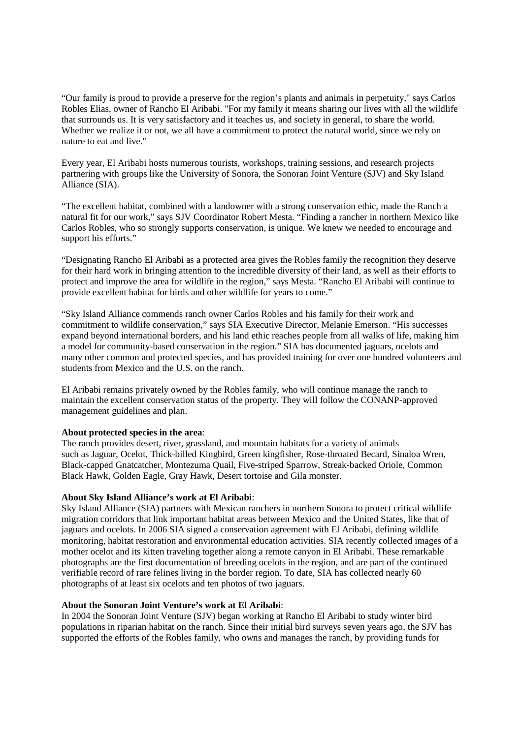"Our family is proud to provide a preserve for the region's plants and animals in perpetuity," says Carlos Robles Elias, owner of Rancho El Aribabi. "For my family it means sharing our lives with all the wildlife that surrounds us. It is very satisfactory and it teaches us, and society in general, to share the world. Whether we realize it or not, we all have a commitment to protect the natural world, since we rely on nature to eat and live."

Every year, El Aribabi hosts numerous tourists, workshops, training sessions, and research projects partnering with groups like the University of Sonora, the Sonoran Joint Venture (SJV) and Sky Island Alliance (SIA).

"The excellent habitat, combined with a landowner with a strong conservation ethic, made the Ranch a natural fit for our work," says SJV Coordinator Robert Mesta. "Finding a rancher in northern Mexico like Carlos Robles, who so strongly supports conservation, is unique. We knew we needed to encourage and support his efforts."

"Designating Rancho El Aribabi as a protected area gives the Robles family the recognition they deserve for their hard work in bringing attention to the incredible diversity of their land, as well as their efforts to protect and improve the area for wildlife in the region," says Mesta. "Rancho El Aribabi will continue to provide excellent habitat for birds and other wildlife for years to come."

"Sky Island Alliance commends ranch owner Carlos Robles and his family for their work and commitment to wildlife conservation," says SIA Executive Director, Melanie Emerson. "His successes expand beyond international borders, and his land ethic reaches people from all walks of life, making him a model for community-based conservation in the region." SIA has documented jaguars, ocelots and many other common and protected species, and has provided training for over one hundred volunteers and students from Mexico and the U.S. on the ranch.

El Aribabi remains privately owned by the Robles family, who will continue manage the ranch to maintain the excellent conservation status of the property. They will follow the CONANP-approved management guidelines and plan.

#### **About protected species in the area**:

The ranch provides desert, river, grassland, and mountain habitats for a variety of animals such as Jaguar, Ocelot, Thick-billed Kingbird, Green kingfisher, Rose-throated Becard, Sinaloa Wren, Black-capped Gnatcatcher, Montezuma Quail, Five-striped Sparrow, Streak-backed Oriole, Common Black Hawk, Golden Eagle, Gray Hawk, Desert tortoise and Gila monster.

### **About Sky Island Alliance's work at El Aribabi**:

Sky Island Alliance (SIA) partners with Mexican ranchers in northern Sonora to protect critical wildlife migration corridors that link important habitat areas between Mexico and the United States, like that of jaguars and ocelots. In 2006 SIA signed a conservation agreement with El Aribabi, defining wildlife monitoring, habitat restoration and environmental education activities. SIA recently collected images of a mother ocelot and its kitten traveling together along a remote canyon in El Aribabi. These remarkable photographs are the first documentation of breeding ocelots in the region, and are part of the continued verifiable record of rare felines living in the border region. To date, SIA has collected nearly 60 photographs of at least six ocelots and ten photos of two jaguars.

#### **About the Sonoran Joint Venture's work at El Aribabi**:

In 2004 the Sonoran Joint Venture (SJV) began working at Rancho El Aribabi to study winter bird populations in riparian habitat on the ranch. Since their initial bird surveys seven years ago, the SJV has supported the efforts of the Robles family, who owns and manages the ranch, by providing funds for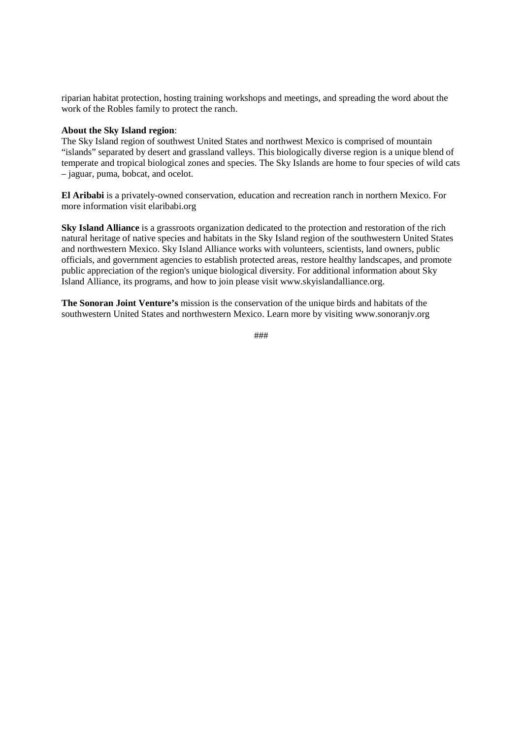riparian habitat protection, hosting training workshops and meetings, and spreading the word about the work of the Robles family to protect the ranch.

### **About the Sky Island region**:

The Sky Island region of southwest United States and northwest Mexico is comprised of mountain "islands" separated by desert and grassland valleys. This biologically diverse region is a unique blend of temperate and tropical biological zones and species. The Sky Islands are home to four species of wild cats – jaguar, puma, bobcat, and ocelot.

**El Aribabi** is a privately-owned conservation, education and recreation ranch in northern Mexico. For more information visit elaribabi.org

**Sky Island Alliance** is a grassroots organization dedicated to the protection and restoration of the rich natural heritage of native species and habitats in the Sky Island region of the southwestern United States and northwestern Mexico. Sky Island Alliance works with volunteers, scientists, land owners, public officials, and government agencies to establish protected areas, restore healthy landscapes, and promote public appreciation of the region's unique biological diversity. For additional information about Sky Island Alliance, its programs, and how to join please visit www.skyislandalliance.org.

**The Sonoran Joint Venture's** mission is the conservation of the unique birds and habitats of the southwestern United States and northwestern Mexico. Learn more by visiting www.sonoranjv.org

###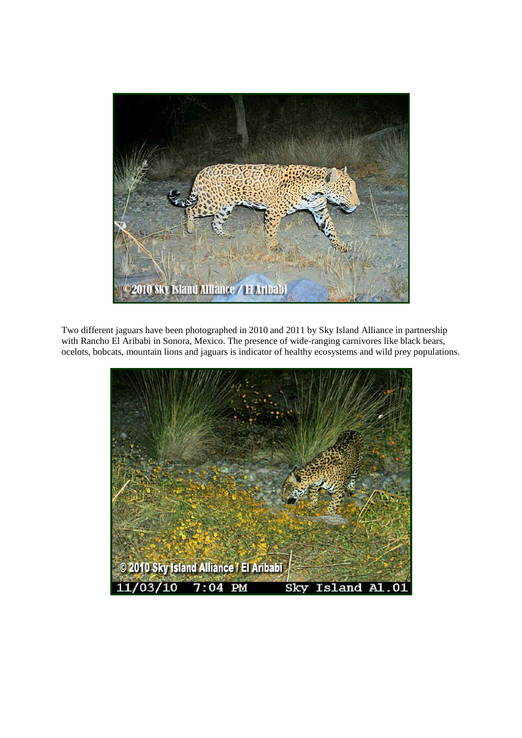

Two different jaguars have been photographed in 2010 and 2011 by Sky Island Alliance in partnership with Rancho El Aribabi in Sonora, Mexico. The presence of wide-ranging carnivores like black bears, ocelots, bobcats, mountain lions and jaguars is indicator of healthy ecosystems and wild prey populations.